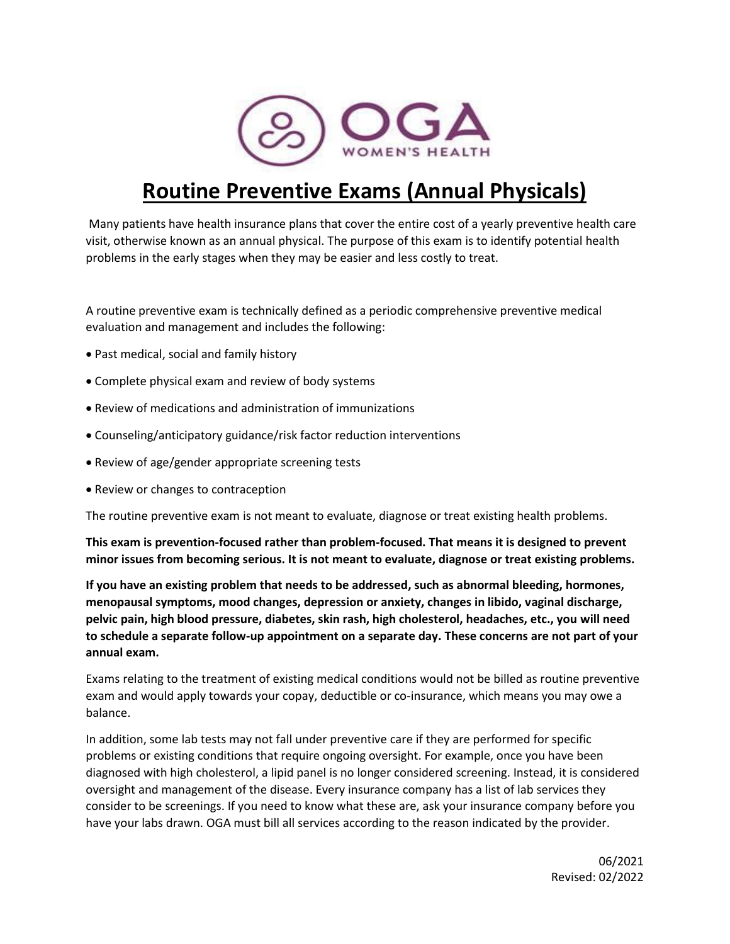

# **Routine Preventive Exams (Annual Physicals)**

Many patients have health insurance plans that cover the entire cost of a yearly preventive health care visit, otherwise known as an annual physical. The purpose of this exam is to identify potential health problems in the early stages when they may be easier and less costly to treat.

A routine preventive exam is technically defined as a periodic comprehensive preventive medical evaluation and management and includes the following:

- Past medical, social and family history
- Complete physical exam and review of body systems
- Review of medications and administration of immunizations
- Counseling/anticipatory guidance/risk factor reduction interventions
- Review of age/gender appropriate screening tests
- Review or changes to contraception

The routine preventive exam is not meant to evaluate, diagnose or treat existing health problems.

**This exam is prevention-focused rather than problem-focused. That means it is designed to prevent minor issues from becoming serious. It is not meant to evaluate, diagnose or treat existing problems.**

**If you have an existing problem that needs to be addressed, such as abnormal bleeding, hormones, menopausal symptoms, mood changes, depression or anxiety, changes in libido, vaginal discharge, pelvic pain, high blood pressure, diabetes, skin rash, high cholesterol, headaches, etc., you will need to schedule a separate follow-up appointment on a separate day. These concerns are not part of your annual exam.** 

Exams relating to the treatment of existing medical conditions would not be billed as routine preventive exam and would apply towards your copay, deductible or co-insurance, which means you may owe a balance.

In addition, some lab tests may not fall under preventive care if they are performed for specific problems or existing conditions that require ongoing oversight. For example, once you have been diagnosed with high cholesterol, a lipid panel is no longer considered screening. Instead, it is considered oversight and management of the disease. Every insurance company has a list of lab services they consider to be screenings. If you need to know what these are, ask your insurance company before you have your labs drawn. OGA must bill all services according to the reason indicated by the provider.